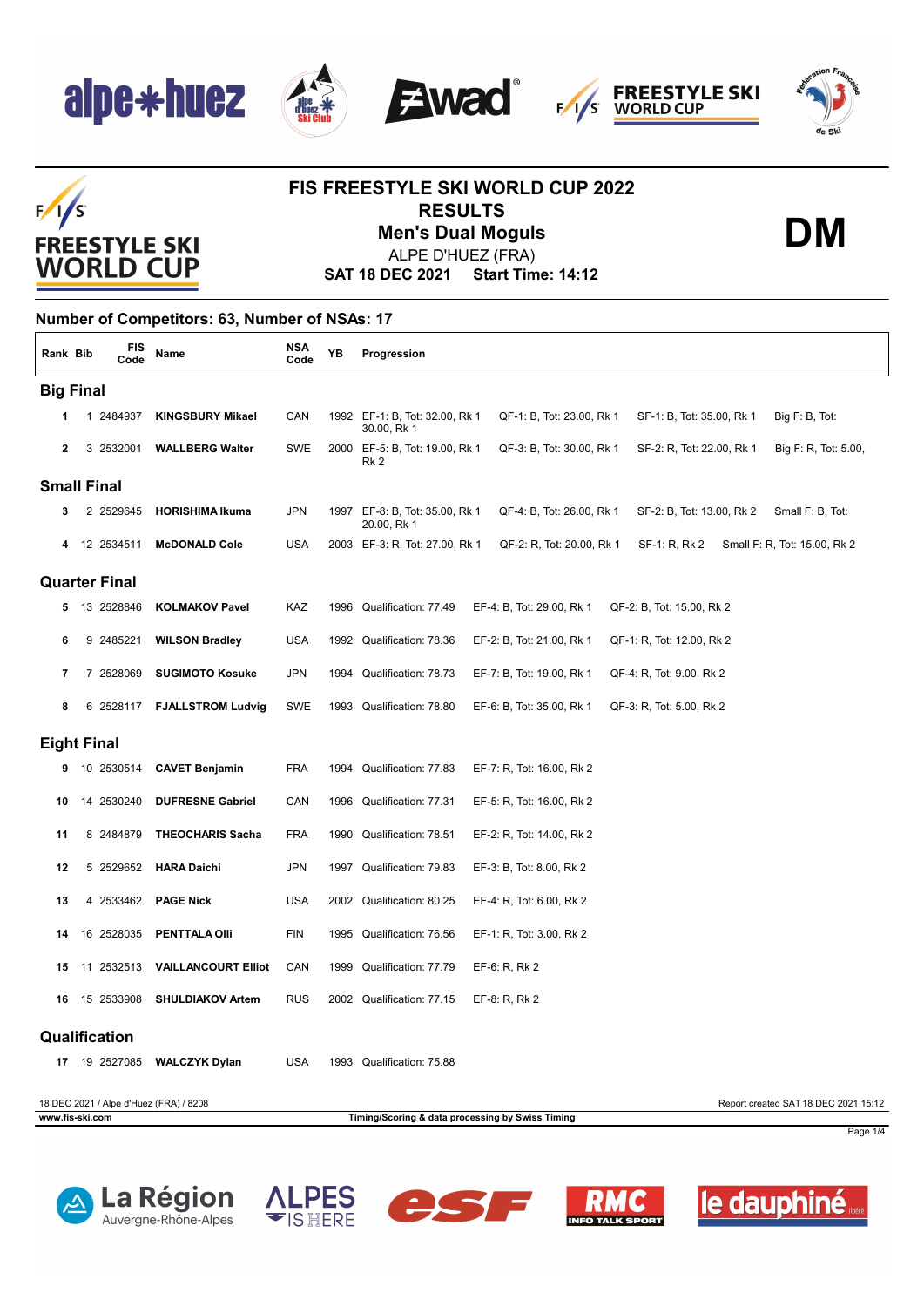





**DM**

### $F/1/S$ **FREESTYLE SKI WORLD CUP**

#### **FIS FREESTYLE SKI WORLD CUP 2022 RESULTS Men's Dual Moguls**

ALPE D'HUEZ (FRA)

**SAT 18 DEC 2021 Start Time: 14:12**

#### **Number of Competitors: 63, Number of NSAs: 17**

| Rank Bib           | <b>FIS</b><br>Code   | Name                                   | <b>NSA</b><br>Code | ΥB   | Progression                                                                                                                 |
|--------------------|----------------------|----------------------------------------|--------------------|------|-----------------------------------------------------------------------------------------------------------------------------|
| <b>Big Final</b>   |                      |                                        |                    |      |                                                                                                                             |
|                    | 1 2484937            | <b>KINGSBURY Mikael</b>                | CAN                |      | 1992 EF-1: B, Tot: 32.00, Rk 1<br>QF-1: B, Tot: 23.00, Rk 1<br>SF-1: B, Tot: 35.00, Rk 1<br>Big F: B, Tot:<br>30.00, Rk 1   |
| $\mathbf{2}$       | 3 2532001            | <b>WALLBERG Walter</b>                 | SWE                |      | 2000 EF-5: B, Tot: 19.00, Rk 1<br>QF-3: B, Tot: 30.00, Rk 1<br>SF-2: R, Tot: 22.00, Rk 1<br>Big F: R, Tot: 5.00,<br>Rk 2    |
| <b>Small Final</b> |                      |                                        |                    |      |                                                                                                                             |
| 3                  | 2 2529645            | <b>HORISHIMA Ikuma</b>                 | <b>JPN</b>         |      | 1997 EF-8: B, Tot: 35.00, Rk 1<br>QF-4: B, Tot: 26.00, Rk 1<br>Small F: B, Tot:<br>SF-2: B, Tot: 13.00, Rk 2<br>20.00, Rk 1 |
|                    | 12 2534511           | <b>McDONALD Cole</b>                   | <b>USA</b>         |      | 2003 EF-3: R, Tot: 27.00, Rk 1<br>QF-2: R, Tot: 20.00, Rk 1<br>SF-1: R, Rk 2<br>Small F: R, Tot: 15.00, Rk 2                |
|                    | <b>Quarter Final</b> |                                        |                    |      |                                                                                                                             |
|                    | 13 2528846           | <b>KOLMAKOV Pavel</b>                  | KAZ                |      | 1996 Qualification: 77.49<br>EF-4: B, Tot: 29.00, Rk 1<br>QF-2: B, Tot: 15.00, Rk 2                                         |
| 6                  | 9 2485221            | <b>WILSON Bradley</b>                  | <b>USA</b>         |      | 1992 Qualification: 78.36<br>EF-2: B, Tot: 21.00, Rk 1<br>QF-1: R, Tot: 12.00, Rk 2                                         |
| 7                  | 7 2528069            | <b>SUGIMOTO Kosuke</b>                 | <b>JPN</b>         | 1994 | Qualification: 78.73<br>EF-7: B, Tot: 19.00, Rk 1<br>QF-4: R, Tot: 9.00, Rk 2                                               |
| 8                  | 6 2528117            | <b>FJALLSTROM Ludvig</b>               | SWE                |      | 1993 Qualification: 78.80<br>EF-6: B, Tot: 35.00, Rk 1<br>QF-3: R, Tot: 5.00, Rk 2                                          |
| <b>Eight Final</b> |                      |                                        |                    |      |                                                                                                                             |
| 9                  | 10 2530514           | <b>CAVET Benjamin</b>                  | FRA                | 1994 | Qualification: 77.83<br>EF-7: R, Tot: 16.00, Rk 2                                                                           |
| 10                 | 14 2530240           | <b>DUFRESNE Gabriel</b>                | CAN                | 1996 | Qualification: 77.31<br>EF-5: R, Tot: 16.00, Rk 2                                                                           |
| 11                 | 8 2484879            | <b>THEOCHARIS Sacha</b>                | <b>FRA</b>         |      | 1990 Qualification: 78.51<br>EF-2: R, Tot: 14.00, Rk 2                                                                      |
| 12                 | 5 2529652            | <b>HARA Daichi</b>                     | <b>JPN</b>         | 1997 | Qualification: 79.83<br>EF-3: B, Tot: 8.00, Rk 2                                                                            |
| 13                 | 4 2533462            | <b>PAGE Nick</b>                       | <b>USA</b>         |      | 2002 Qualification: 80.25<br>EF-4: R, Tot: 6.00, Rk 2                                                                       |
| 14                 | 16 2528035           | <b>PENTTALA OIII</b>                   | <b>FIN</b>         | 1995 | Qualification: 76.56<br>EF-1: R, Tot: 3.00, Rk 2                                                                            |
| 15                 | 11 2532513           | <b>VAILLANCOURT Elliot</b>             | CAN                | 1999 | Qualification: 77.79<br>EF-6: R, Rk 2                                                                                       |
| 16                 | 15 2533908           | <b>SHULDIAKOV Artem</b>                | <b>RUS</b>         |      | 2002 Qualification: 77.15<br>$EF-8: R, Rk 2$                                                                                |
|                    | Qualification        |                                        |                    |      |                                                                                                                             |
| 17                 | 19 2527085           | <b>WALCZYK Dylan</b>                   | <b>USA</b>         |      | 1993 Qualification: 75.88                                                                                                   |
|                    |                      | 18 DEC 2021 / Alpe d'Huez (FRA) / 8208 |                    |      | Report created SAT 18 DEC 2021 15:12                                                                                        |
| www.fis-ski.com    |                      |                                        |                    |      | Timing/Scoring & data processing by Swiss Timing<br>Page 1/4                                                                |









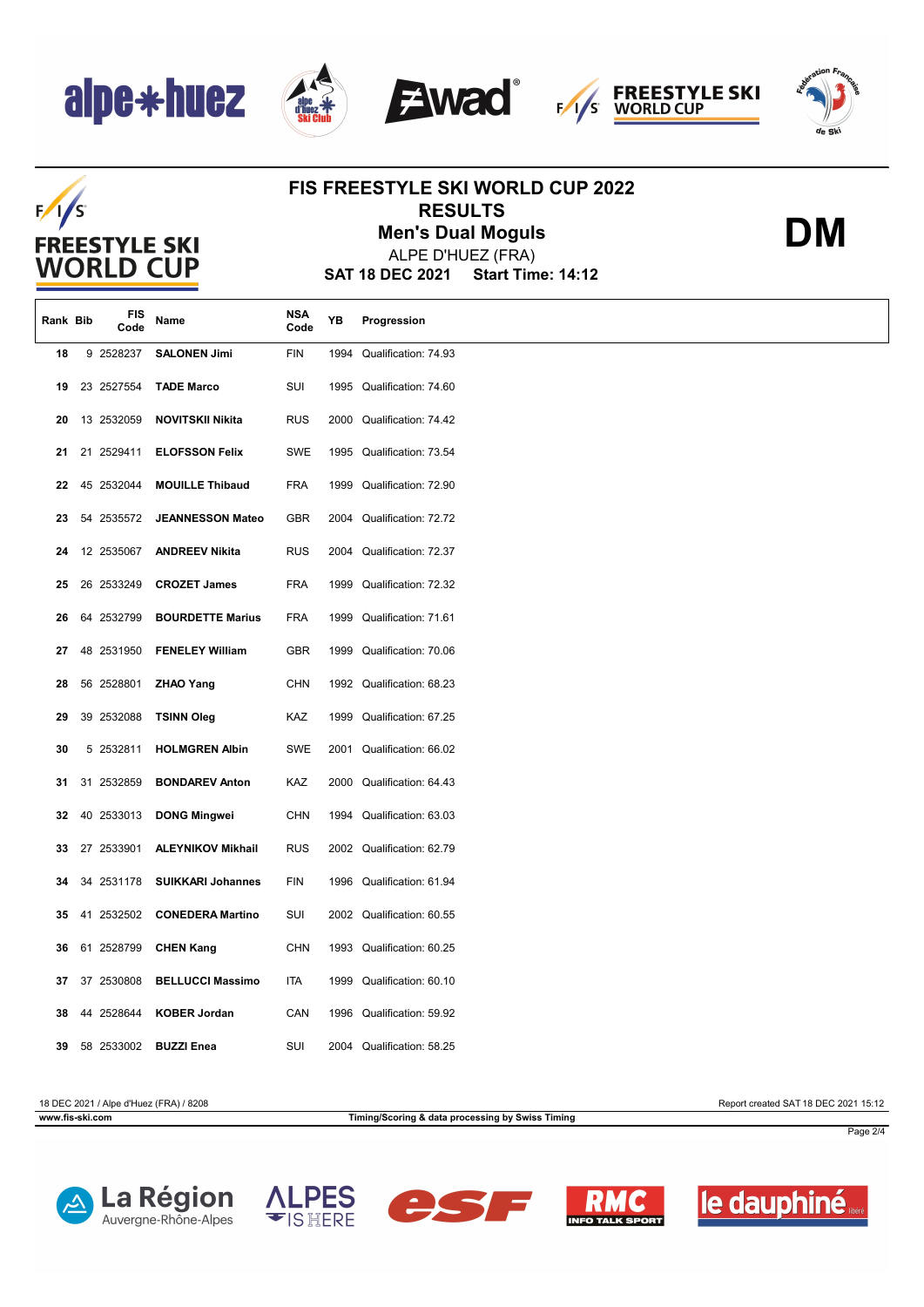





**DM**

### $F/1/S$ **FREESTYLE SKI WORLD CUP**

### **FIS FREESTYLE SKI WORLD CUP 2022 RESULTS**

**Men's Dual Moguls**

**SAT 18 DEC 2021 Start Time: 14:12** ALPE D'HUEZ (FRA)

| Rank Bib | FIS<br>Code | Name                     | NSA<br>Code | YB   | Progression               |
|----------|-------------|--------------------------|-------------|------|---------------------------|
| 18       | 9 2528237   | <b>SALONEN Jimi</b>      | <b>FIN</b>  | 1994 | Qualification: 74.93      |
| 19       | 23 2527554  | <b>TADE Marco</b>        | SUI         | 1995 | Qualification: 74.60      |
| 20       | 13 2532059  | <b>NOVITSKII Nikita</b>  | <b>RUS</b>  |      | 2000 Qualification: 74.42 |
| 21       | 21 2529411  | <b>ELOFSSON Felix</b>    | <b>SWE</b>  |      | 1995 Qualification: 73.54 |
| 22       | 45 2532044  | <b>MOUILLE Thibaud</b>   | <b>FRA</b>  | 1999 | Qualification: 72.90      |
| 23       | 54 2535572  | <b>JEANNESSON Mateo</b>  | <b>GBR</b>  |      | 2004 Qualification: 72.72 |
| 24       | 12 2535067  | <b>ANDREEV Nikita</b>    | <b>RUS</b>  |      | 2004 Qualification: 72.37 |
| 25       | 26 2533249  | <b>CROZET James</b>      | <b>FRA</b>  | 1999 | Qualification: 72.32      |
| 26       | 64 2532799  | <b>BOURDETTE Marius</b>  | <b>FRA</b>  | 1999 | Qualification: 71.61      |
| 27       | 48 2531950  | <b>FENELEY William</b>   | <b>GBR</b>  | 1999 | Qualification: 70.06      |
| 28       | 56 2528801  | <b>ZHAO Yang</b>         | <b>CHN</b>  |      | 1992 Qualification: 68.23 |
| 29       | 39 2532088  | <b>TSINN Oleg</b>        | KAZ         | 1999 | Qualification: 67.25      |
| 30       | 5 2532811   | <b>HOLMGREN Albin</b>    | SWE         | 2001 | Qualification: 66.02      |
| 31       | 31 2532859  | <b>BONDAREV Anton</b>    | KAZ         |      | 2000 Qualification: 64.43 |
| 32       | 40 2533013  | <b>DONG Mingwei</b>      | <b>CHN</b>  |      | 1994 Qualification: 63.03 |
| 33       | 27 2533901  | <b>ALEYNIKOV Mikhail</b> | <b>RUS</b>  |      | 2002 Qualification: 62.79 |
| 34       | 34 2531178  | <b>SUIKKARI Johannes</b> | <b>FIN</b>  |      | 1996 Qualification: 61.94 |
| 35       | 41 2532502  | <b>CONEDERA Martino</b>  | SUI         |      | 2002 Qualification: 60.55 |
| 36       | 61 2528799  | <b>CHEN Kang</b>         | <b>CHN</b>  |      | 1993 Qualification: 60.25 |
| 37       | 37 2530808  | <b>BELLUCCI Massimo</b>  | ITA         |      | 1999 Qualification: 60.10 |
| 38       | 44 2528644  | <b>KOBER Jordan</b>      | CAN         | 1996 | Qualification: 59.92      |
| 39       | 58 2533002  | <b>BUZZI Enea</b>        | SUI         |      | 2004 Qualification: 58.25 |

18 DEC 2021 / Alpe d'Huez (FRA) / 8208 Report created SAT 18 DEC 2021 15:12

**www.fis-ski.com Timing/Scoring & data processing by Swiss Timing**

Page 2/4









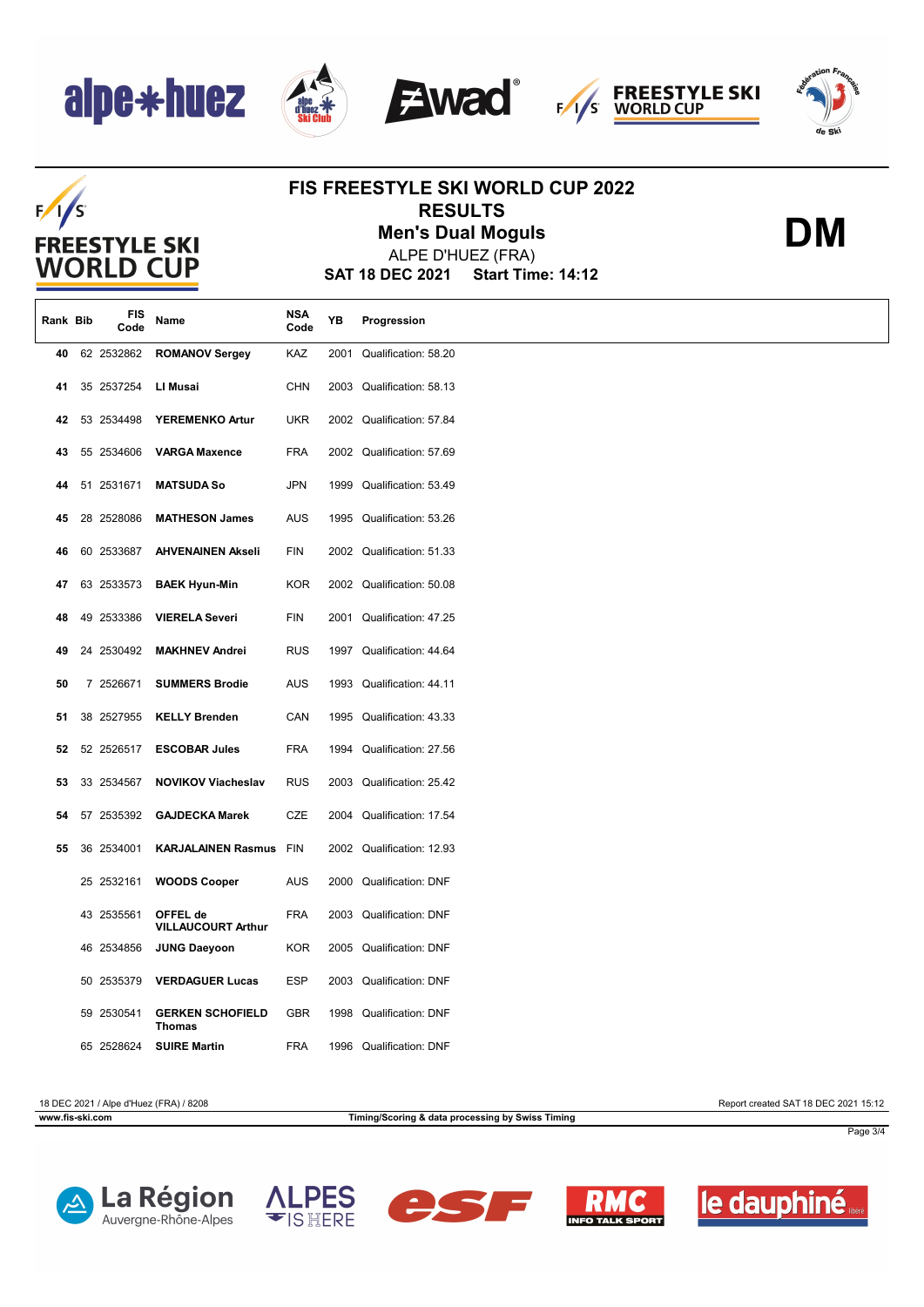





**DM**

### $F/I/S$ **FREESTYLE SKI WORLD CUP**

### **FIS FREESTYLE SKI WORLD CUP 2022 RESULTS**

**Men's Dual Moguls**

**SAT 18 DEC 2021 Start Time: 14:12** ALPE D'HUEZ (FRA)

| Rank Bib | FIS<br>Code | Name                                     | <b>NSA</b><br>Code | YB   | Progression               |
|----------|-------------|------------------------------------------|--------------------|------|---------------------------|
| 40       | 62 2532862  | <b>ROMANOV Sergey</b>                    | KAZ                | 2001 | Qualification: 58.20      |
| 41       | 35 2537254  | LI Musai                                 | <b>CHN</b>         |      | 2003 Qualification: 58.13 |
| 42       | 53 2534498  | <b>YEREMENKO Artur</b>                   | <b>UKR</b>         |      | 2002 Qualification: 57.84 |
| 43       | 55 2534606  | <b>VARGA Maxence</b>                     | <b>FRA</b>         |      | 2002 Qualification: 57.69 |
| 44       | 51 2531671  | <b>MATSUDA So</b>                        | <b>JPN</b>         | 1999 | Qualification: 53.49      |
| 45       | 28 2528086  | <b>MATHESON James</b>                    | <b>AUS</b>         |      | 1995 Qualification: 53.26 |
| 46       | 60 2533687  | <b>AHVENAINEN Akseli</b>                 | FIN                |      | 2002 Qualification: 51.33 |
| 47       | 63 2533573  | <b>BAEK Hyun-Min</b>                     | <b>KOR</b>         |      | 2002 Qualification: 50.08 |
| 48       | 49 2533386  | <b>VIERELA Severi</b>                    | <b>FIN</b>         |      | 2001 Qualification: 47.25 |
| 49       | 24 2530492  | <b>MAKHNEV Andrei</b>                    | <b>RUS</b>         |      | 1997 Qualification: 44.64 |
| 50       | 7 2526671   | <b>SUMMERS Brodie</b>                    | <b>AUS</b>         |      | 1993 Qualification: 44.11 |
| 51       | 38 2527955  | <b>KELLY Brenden</b>                     | CAN                |      | 1995 Qualification: 43.33 |
| 52       | 52 2526517  | <b>ESCOBAR Jules</b>                     | <b>FRA</b>         |      | 1994 Qualification: 27.56 |
| 53       | 33 2534567  | <b>NOVIKOV Viacheslav</b>                | <b>RUS</b>         | 2003 | Qualification: 25.42      |
| 54       | 57 2535392  | <b>GAJDECKA Marek</b>                    | CZE                |      | 2004 Qualification: 17.54 |
| 55       | 36 2534001  | <b>KARJALAINEN Rasmus</b>                | <b>FIN</b>         |      | 2002 Qualification: 12.93 |
|          | 25 2532161  | <b>WOODS Cooper</b>                      | <b>AUS</b>         | 2000 | <b>Qualification: DNF</b> |
|          | 43 2535561  | OFFEL de<br><b>VILLAUCOURT Arthur</b>    | <b>FRA</b>         |      | 2003 Qualification: DNF   |
|          | 46 2534856  | <b>JUNG Daeyoon</b>                      | <b>KOR</b>         |      | 2005 Qualification: DNF   |
|          | 50 2535379  | <b>VERDAGUER Lucas</b>                   | <b>ESP</b>         | 2003 | <b>Qualification: DNF</b> |
|          | 59 2530541  | <b>GERKEN SCHOFIELD</b><br><b>Thomas</b> | <b>GBR</b>         |      | 1998 Qualification: DNF   |
|          | 65 2528624  | <b>SUIRE Martin</b>                      | <b>FRA</b>         |      | 1996 Qualification: DNF   |

18 DEC 2021 / Alpe d'Huez (FRA) / 8208 Report created SAT 18 DEC 2021 15:12

**www.fis-ski.com Timing/Scoring & data processing by Swiss Timing**

Page 3/4